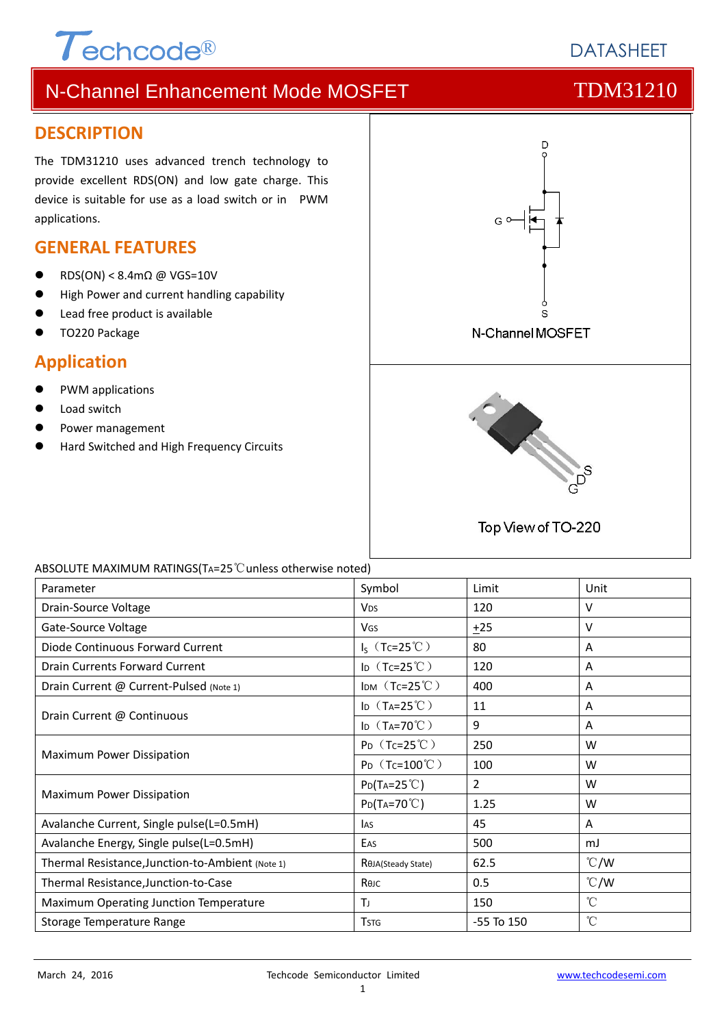# $\tau$ <sub>echcode®</sub>

**DATASHEET** 

# N-Channel Enhancement Mode MOSFET TOM31210

#### **DESCRIPTION**

The TDM31210 uses advanced trench technology to provide excellent RDS(ON) and low gate charge. This device is suitable for use as a load switch or in PWM applications.

### **GENERAL FEATURES**

- RDS(ON) < 8.4mΩ @ VGS=10V
- High Power and current handling capability
- Lead free product is available
- TO220 Package

### **Application**

- PWM applications
- Load switch
- Power management
- Hard Switched and High Frequency Circuits



#### ABSOLUTE MAXIMUM RATINGS(TA=25℃unless otherwise noted)

| Parameter                                        | Symbol                        | Limit          | Unit            |
|--------------------------------------------------|-------------------------------|----------------|-----------------|
| Drain-Source Voltage                             | <b>V<sub>DS</sub></b>         | 120            | V               |
| Gate-Source Voltage                              | <b>V<sub>GS</sub></b>         | ±25            | v               |
| Diode Continuous Forward Current                 | $I_S$ (Tc=25°C)               | 80             | Α               |
| Drain Currents Forward Current                   | ID $(Tc=25^{\circ}C)$         | 120            | A               |
| Drain Current @ Current-Pulsed (Note 1)          | IDM $(Tc=25^{\circ}C)$        | 400            | A               |
| Drain Current @ Continuous                       | ID $(T_A=25^{\circ}\text{C})$ | 11             | Α               |
|                                                  | ID $(T_A=70^{\circ}C)$        | 9              | Α               |
| Maximum Power Dissipation                        | $P_D$ (Tc=25°C)               | 250            | W               |
|                                                  | $P_D$ (Tc=100°C)              | 100            | W               |
| Maximum Power Dissipation                        | $P_{D}(T_{A}=25^{\circ}C)$    | $\overline{2}$ | W               |
|                                                  | $Po(T_A=70^{\circ}C)$         | 1.25           | W               |
| Avalanche Current, Single pulse(L=0.5mH)         | <b>I</b> AS                   | 45             | A               |
| Avalanche Energy, Single pulse(L=0.5mH)          | EAS                           | 500            | mJ              |
| Thermal Resistance, Junction-to-Ambient (Note 1) | ROJA(Steady State)            | 62.5           | $\degree$ C/W   |
| Thermal Resistance, Junction-to-Case             | Rejc                          | 0.5            | $\degree$ C/W   |
| Maximum Operating Junction Temperature           | Tı                            | 150            | $\rm ^{\circ}C$ |
| Storage Temperature Range                        | <b>T</b> <sub>STG</sub>       | $-55$ To $150$ | $\rm ^{\circ}C$ |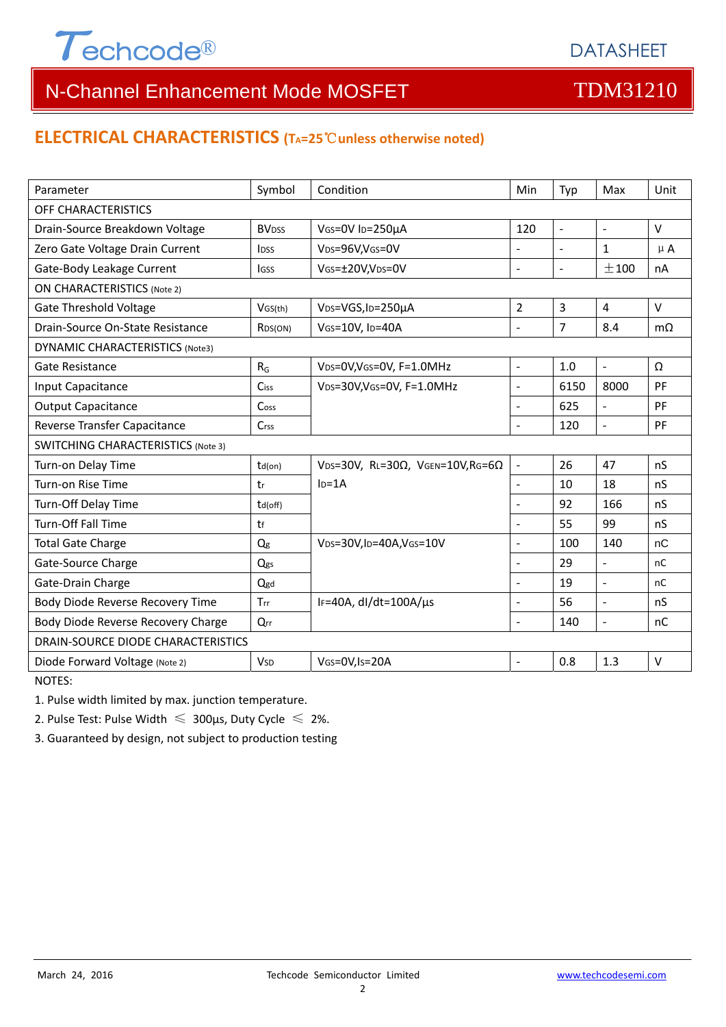

### **ELECTRICAL CHARACTERISTICS (TA=25**℃**unless otherwise noted)**

| Parameter                                 | Symbol                  | Condition                                         | Min                      | Typ            | Max                      | Unit      |  |  |
|-------------------------------------------|-------------------------|---------------------------------------------------|--------------------------|----------------|--------------------------|-----------|--|--|
| OFF CHARACTERISTICS                       |                         |                                                   |                          |                |                          |           |  |  |
| Drain-Source Breakdown Voltage            | <b>BV<sub>DSS</sub></b> | VGS=0V ID=250µA<br>120                            |                          | $\sim$         | $\sim$                   | V         |  |  |
| Zero Gate Voltage Drain Current           | <b>IDSS</b>             | VDS=96V,VGS=0V                                    | $\overline{a}$           | $\blacksquare$ | $\mathbf{1}$             | $\mu$ A   |  |  |
| Gate-Body Leakage Current                 | <b>IGSS</b>             | VGS=±20V,VDS=0V                                   | $\overline{a}$           | $\blacksquare$ | ±100                     | nA        |  |  |
| <b>ON CHARACTERISTICS (Note 2)</b>        |                         |                                                   |                          |                |                          |           |  |  |
| <b>Gate Threshold Voltage</b>             | VGS(th)                 | VDS=VGS, ID=250µA                                 | $\overline{2}$           | 3              | $\overline{4}$           | V         |  |  |
| Drain-Source On-State Resistance          | R <sub>DS</sub> (ON)    | VGS=10V, ID=40A                                   | $\overline{a}$           | $\overline{7}$ | 8.4                      | $m\Omega$ |  |  |
| DYNAMIC CHARACTERISTICS (Note3)           |                         |                                                   |                          |                |                          |           |  |  |
| Gate Resistance                           | $R_G$                   | VDS=0V, VGS=0V, F=1.0MHz                          | $\blacksquare$           | 1.0            | $\blacksquare$           | Ω         |  |  |
| Input Capacitance                         | <b>Ciss</b>             | VDS=30V, VGS=0V, F=1.0MHz                         | $\blacksquare$           | 6150           | 8000                     | PF        |  |  |
| <b>Output Capacitance</b>                 | Coss                    |                                                   | $\overline{a}$           | 625            | $\mathbf{r}$             | PF        |  |  |
| Reverse Transfer Capacitance              | Crss                    |                                                   | $\overline{a}$           | 120            | $\overline{a}$           | PF        |  |  |
| <b>SWITCHING CHARACTERISTICS (Note 3)</b> |                         |                                                   |                          |                |                          |           |  |  |
| Turn-on Delay Time                        | $td($ on $)$            | VDS=30V, RL=30 $\Omega$ , VGEN=10V, RG=6 $\Omega$ | $\overline{\phantom{a}}$ | 26             | 47                       | nS        |  |  |
| Turn-on Rise Time                         | tr                      | $I_D = 1A$                                        | $\blacksquare$           | 10             | 18                       | nS        |  |  |
| Turn-Off Delay Time                       | td(off)                 |                                                   | $\overline{\phantom{0}}$ | 92             | 166                      | nS        |  |  |
| <b>Turn-Off Fall Time</b>                 | tf                      |                                                   | $\overline{a}$           | 55             | 99                       | nS        |  |  |
| <b>Total Gate Charge</b>                  | $Q_g$                   | $V_{DS}=30V$ , ID=40A, VGS=10V                    | $\overline{a}$           | 100            | 140                      | nC        |  |  |
| Gate-Source Charge                        | Qgs                     |                                                   | $\overline{a}$           | 29             | $\mathbf{r}$             | nC        |  |  |
| Gate-Drain Charge                         | Qgd                     |                                                   | $\overline{a}$           | 19             | $\overline{\phantom{a}}$ | nC        |  |  |
| Body Diode Reverse Recovery Time          | Trr                     | IF=40A, dl/dt=100A/µs                             | $\overline{a}$           | 56             | $\overline{a}$           | nS        |  |  |
| Body Diode Reverse Recovery Charge        | Qrr                     |                                                   | $\overline{a}$           | 140            | $\overline{a}$           | nC        |  |  |
| DRAIN-SOURCE DIODE CHARACTERISTICS        |                         |                                                   |                          |                |                          |           |  |  |
| Diode Forward Voltage (Note 2)            | <b>V<sub>SD</sub></b>   | VGS=0V,Is=20A                                     | $\overline{a}$           | 0.8            | 1.3                      | $\vee$    |  |  |
| NOTES:                                    |                         |                                                   |                          |                |                          |           |  |  |

1. Pulse width limited by max. junction temperature.

2. Pulse Test: Pulse Width  $\leq 300$ μs, Duty Cycle  $\leq 2\%$ .

3. Guaranteed by design, not subject to production testing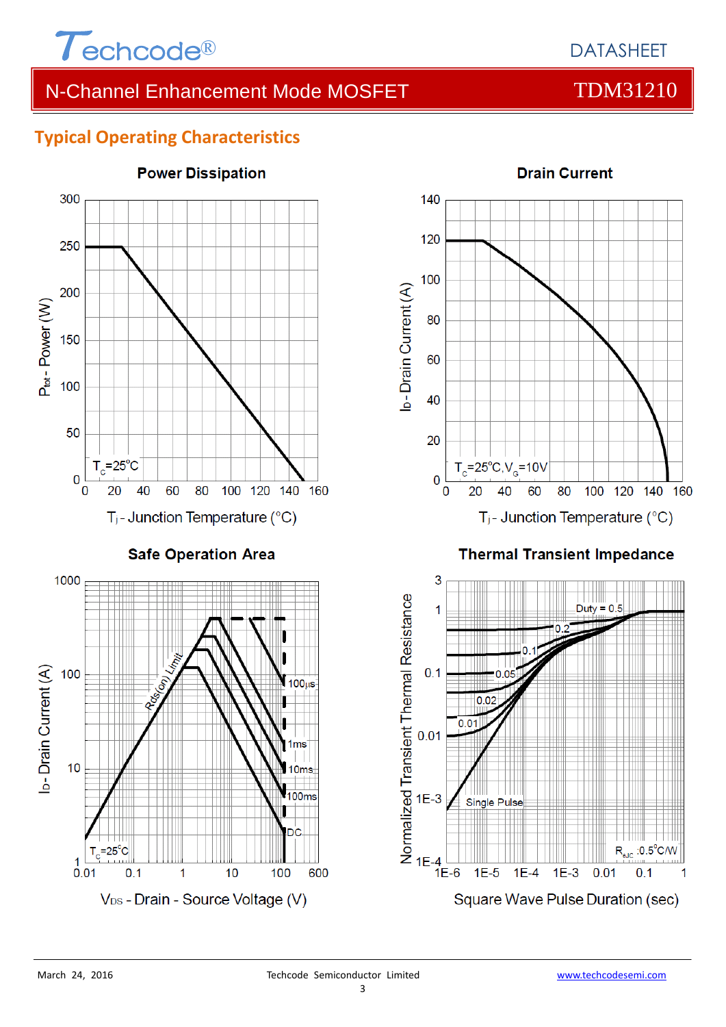

### **Typical Operating Characteristics**



# **Power Dissipation**



#### **Thermal Transient Impedance**

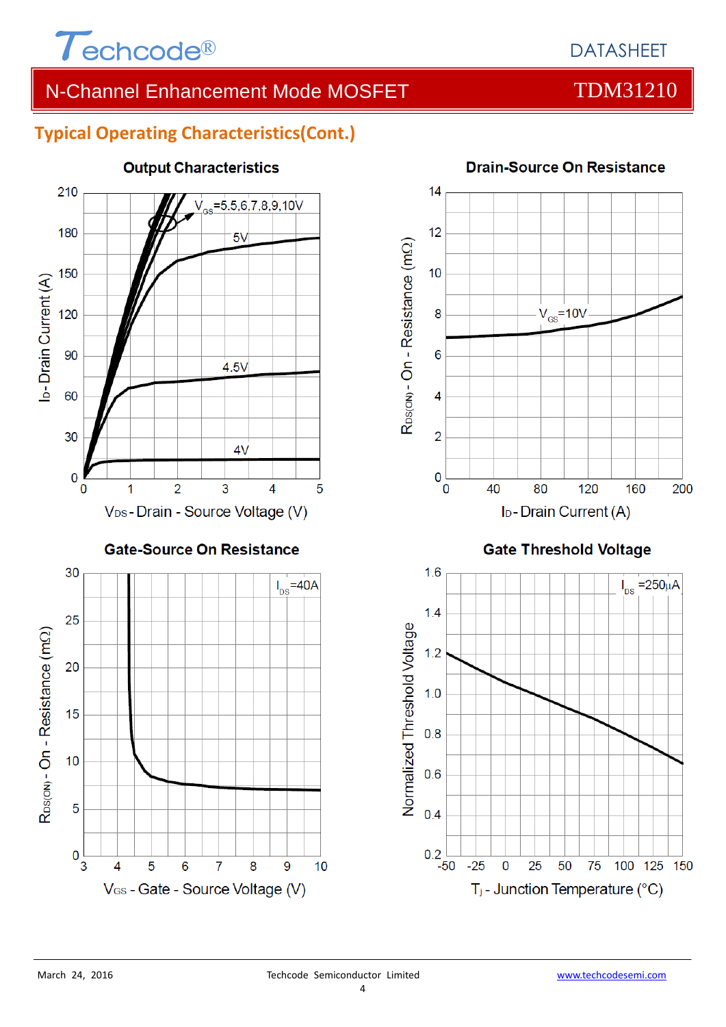

## **Typical Operating Characteristics(Cont.)**



#### **Drain-Source On Resistance**  $14$



#### **Gate Threshold Voltage**

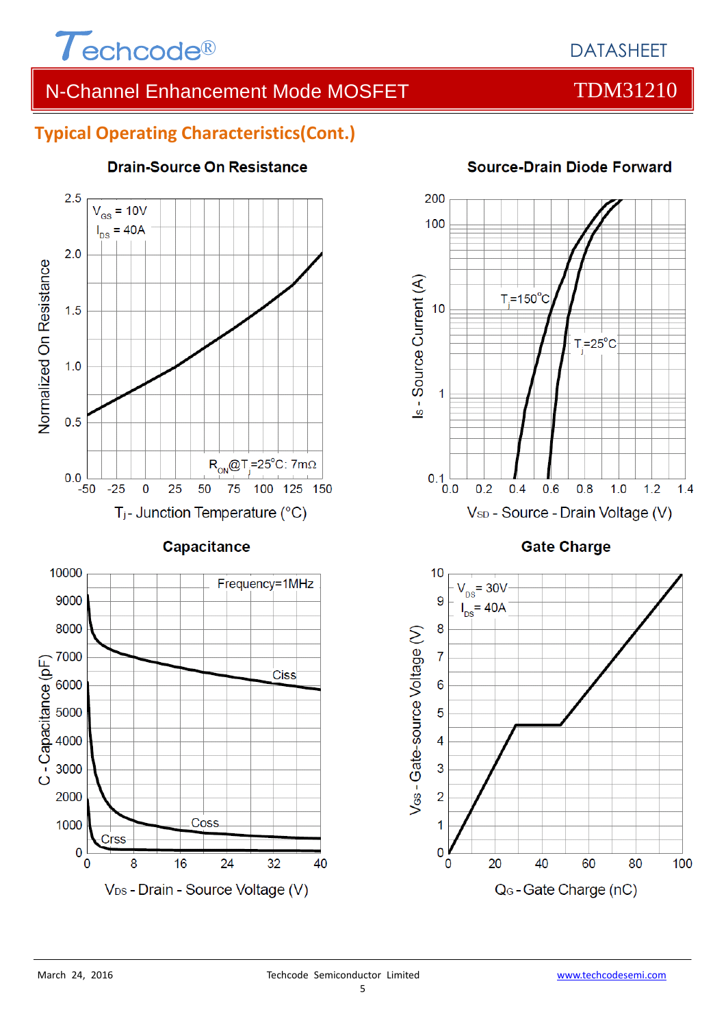

### **Typical Operating Characteristics(Cont.)**



**Drain-Source On Resistance** 

**Gate Charge** 

V<sub>SD</sub> - Source - Drain Voltage (V)

 $0.8$ 

 $1.0$ 

 $1.2$ 

 $1.4$ 

 $0.6$ 



200

100

 $10$ 

 $0.1$ <sub>0.0</sub>

 $0.2$ 

 $0.4$ 

Is - Source Current (A)

#### **Source-Drain Diode Forward**

 $T = 25^{\circ}$ C

 $T = 150^{\circ}$ C

 $\overline{0}$ 

8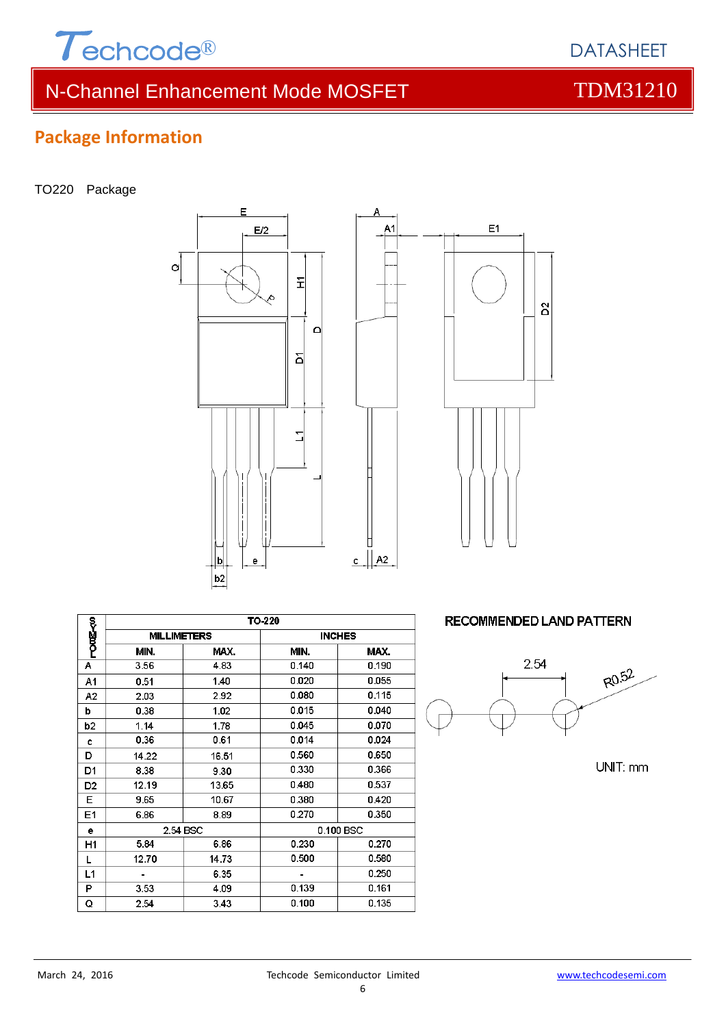

# **Package Information**

TO220 Package





Δ

|                | TO-220             |       |           |               |  |
|----------------|--------------------|-------|-----------|---------------|--|
| r‱<br>Pong-<0  | <b>MILLIMETERS</b> |       |           | <b>INCHES</b> |  |
|                | MIN.               | MAX.  | MIN.      | MAX.          |  |
| Α              | 3.56               | 4.83  | 0.140     | 0.190         |  |
| A1             | 0.51               | 1.40  | 0.020     | 0.055         |  |
| A2             | 2.03               | 2.92  | 0.080     | 0.115         |  |
| b              | 0.38               | 1.02  | 0.015     | 0.040         |  |
| b <sub>2</sub> | 1.14               | 1.78  | 0.045     | 0.070         |  |
| C              | 0.36               | 0.61  | 0.014     | 0.024         |  |
| D              | 14.22              | 16.51 | 0.560     | 0.650         |  |
| D1             | 8.38               | 9.30  | 0.330     | 0.366         |  |
| D2             | 12.19              | 13.65 | 0.480     | 0.537         |  |
| Е              | 9.65               | 10.67 | 0.380     | 0.420         |  |
| E1             | 6.86               | 8.89  | 0.270     | 0.350         |  |
| е              | 2.54 BSC           |       | 0.100 BSC |               |  |
| H1             | 5.84               | 6.86  | 0.230     | 0.270         |  |
| L              | 12.70              | 14.73 | 0.500     | 0.580         |  |
| L1             |                    | 6.35  |           | 0.250         |  |
| P              | 3.53               | 4.09  | 0.139     | 0.161         |  |
| Q              | 2.54               | 3.43  | 0.100     | 0.135         |  |

**RECOMMENDED LAND PATTERN** 



UNIT: mm



DATASHEET